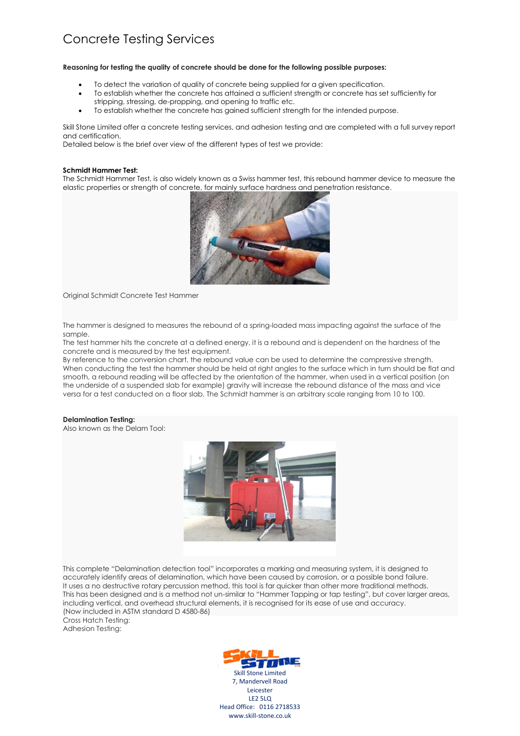# Concrete Testing Services

#### **Reasoning for testing the quality of concrete should be done for the following possible purposes:**

- To detect the variation of quality of concrete being supplied for a given specification.
- To establish whether the concrete has attained a sufficient strength or concrete has set sufficiently for stripping, stressing, de-propping, and opening to traffic etc.
- To establish whether the concrete has gained sufficient strength for the intended purpose.

Skill Stone Limited offer a concrete testing services, and adhesion testing and are completed with a full survey report and certification.

Detailed below is the brief over view of the different types of test we provide:

### **Schmidt Hammer Test:**

The Schmidt Hammer Test, is also widely known as a Swiss hammer test, this rebound hammer device to measure the elastic properties or strength of concrete, for mainly surface hardness and penetration resistance.



Original Schmidt Concrete Test Hammer

The hammer is designed to measures the rebound of a spring-loaded mass impacting against the surface of the sample.

The test hammer hits the concrete at a defined energy, it is a rebound and is dependent on the hardness of the concrete and is measured by the test equipment.

By reference to the conversion chart, the rebound value can be used to determine the compressive strength. When conducting the test the hammer should be held at right angles to the surface which in turn should be flat and smooth, a rebound reading will be affected by the orientation of the hammer, when used in a vertical position (on the underside of a suspended slab for example) gravity will increase the rebound distance of the mass and vice versa for a test conducted on a floor slab. The Schmidt hammer is an arbitrary scale ranging from 10 to 100.

#### **Delamination Testing:**

Also known as the Delam Tool:



This complete "Delamination detection tool" incorporates a marking and measuring system, it is designed to accurately identify areas of delamination, which have been caused by corrosion, or a possible bond failure. It uses a no destructive rotary percussion method, this tool is far quicker than other more traditional methods. This has been designed and is a method not un-similar to "Hammer Tapping or tap testing", but cover larger areas, including vertical, and overhead structural elements, it is recognised for its ease of use and accuracy. (Now included in ASTM standard D 4580-86)

Cross Hatch Testing: Adhesion Testing: